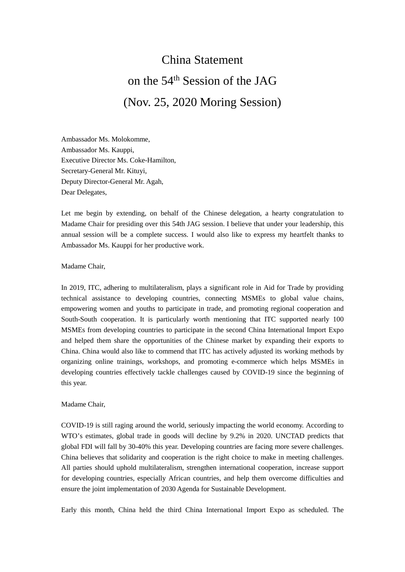## China Statement on the 54th Session of the JAG (Nov. 25, 2020 Moring Session)

Ambassador Ms. Molokomme, Ambassador Ms. Kauppi, Executive Director Ms. Coke-Hamilton, Secretary-General Mr. Kituyi, Deputy Director-General Mr. Agah, Dear Delegates,

Let me begin by extending, on behalf of the Chinese delegation, a hearty congratulation to Madame Chair for presiding over this 54th JAG session. I believe that under your leadership, this annual session will be a complete success. I would also like to express my heartfelt thanks to Ambassador Ms. Kauppi for her productive work.

Madame Chair,

In 2019, ITC, adhering to multilateralism, plays a significant role in Aid for Trade by providing technical assistance to developing countries, connecting MSMEs to global value chains, empowering women and youths to participate in trade, and promoting regional cooperation and South-South cooperation. It is particularly worth mentioning that ITC supported nearly 100 MSMEs from developing countries to participate in the second China International Import Expo and helped them share the opportunities of the Chinese market by expanding their exports to China. China would also like to commend that ITC has actively adjusted its working methods by organizing online trainings, workshops, and promoting e-commerce which helps MSMEs in developing countries effectively tackle challenges caused by COVID-19 since the beginning of this year.

## Madame Chair,

COVID-19 is still raging around the world, seriously impacting the world economy. According to WTO's estimates, global trade in goods will decline by 9.2% in 2020. UNCTAD predicts that global FDI will fall by 30-40% this year. Developing countries are facing more severe challenges. China believes that solidarity and cooperation is the right choice to make in meeting challenges. All parties should uphold multilateralism, strengthen international cooperation, increase support for developing countries, especially African countries, and help them overcome difficulties and ensure the joint implementation of 2030 Agenda for Sustainable Development.

Early this month, China held the third China International Import Expo as scheduled. The